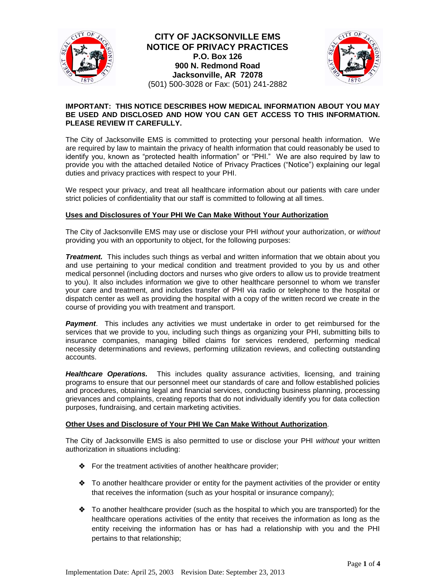

# **CITY OF JACKSONVILLE EMS NOTICE OF PRIVACY PRACTICES P.O. Box 126 900 N. Redmond Road Jacksonville, AR 72078**



(501) 500-3028 or Fax: (501) 241-2882

## **IMPORTANT: THIS NOTICE DESCRIBES HOW MEDICAL INFORMATION ABOUT YOU MAY BE USED AND DISCLOSED AND HOW YOU CAN GET ACCESS TO THIS INFORMATION. PLEASE REVIEW IT CAREFULLY.**

The City of Jacksonville EMS is committed to protecting your personal health information. We are required by law to maintain the privacy of health information that could reasonably be used to identify you, known as "protected health information" or "PHI." We are also required by law to provide you with the attached detailed Notice of Privacy Practices ("Notice") explaining our legal duties and privacy practices with respect to your PHI.

We respect your privacy, and treat all healthcare information about our patients with care under strict policies of confidentiality that our staff is committed to following at all times.

## **Uses and Disclosures of Your PHI We Can Make Without Your Authorization**

The City of Jacksonville EMS may use or disclose your PHI *without* your authorization, or *without*  providing you with an opportunity to object, for the following purposes:

*Treatment.* This includes such things as verbal and written information that we obtain about you and use pertaining to your medical condition and treatment provided to you by us and other medical personnel (including doctors and nurses who give orders to allow us to provide treatment to you). It also includes information we give to other healthcare personnel to whom we transfer your care and treatment, and includes transfer of PHI via radio or telephone to the hospital or dispatch center as well as providing the hospital with a copy of the written record we create in the course of providing you with treatment and transport.

*Payment*. This includes any activities we must undertake in order to get reimbursed for the services that we provide to you, including such things as organizing your PHI, submitting bills to insurance companies, managing billed claims for services rendered, performing medical necessity determinations and reviews, performing utilization reviews, and collecting outstanding accounts.

*Healthcare Operations.* This includes quality assurance activities, licensing, and training programs to ensure that our personnel meet our standards of care and follow established policies and procedures, obtaining legal and financial services, conducting business planning, processing grievances and complaints, creating reports that do not individually identify you for data collection purposes, fundraising, and certain marketing activities.

# **Other Uses and Disclosure of Your PHI We Can Make Without Authorization***.*

The City of Jacksonville EMS is also permitted to use or disclose your PHI *without* your written authorization in situations including:

- ❖ For the treatment activities of another healthcare provider;
- ❖ To another healthcare provider or entity for the payment activities of the provider or entity that receives the information (such as your hospital or insurance company);
- ❖ To another healthcare provider (such as the hospital to which you are transported) for the healthcare operations activities of the entity that receives the information as long as the entity receiving the information has or has had a relationship with you and the PHI pertains to that relationship;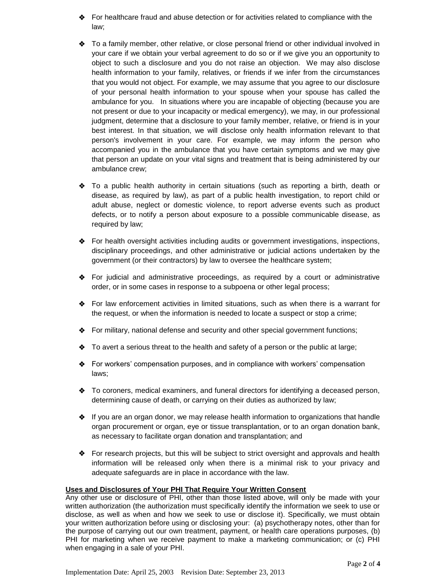- ❖ For healthcare fraud and abuse detection or for activities related to compliance with the law;
- ❖ To a family member, other relative, or close personal friend or other individual involved in your care if we obtain your verbal agreement to do so or if we give you an opportunity to object to such a disclosure and you do not raise an objection. We may also disclose health information to your family, relatives, or friends if we infer from the circumstances that you would not object. For example, we may assume that you agree to our disclosure of your personal health information to your spouse when your spouse has called the ambulance for you. In situations where you are incapable of objecting (because you are not present or due to your incapacity or medical emergency), we may, in our professional judgment, determine that a disclosure to your family member, relative, or friend is in your best interest. In that situation, we will disclose only health information relevant to that person's involvement in your care. For example, we may inform the person who accompanied you in the ambulance that you have certain symptoms and we may give that person an update on your vital signs and treatment that is being administered by our ambulance crew;
- ❖ To a public health authority in certain situations (such as reporting a birth, death or disease, as required by law), as part of a public health investigation, to report child or adult abuse, neglect or domestic violence, to report adverse events such as product defects, or to notify a person about exposure to a possible communicable disease, as required by law;
- ❖ For health oversight activities including audits or government investigations, inspections, disciplinary proceedings, and other administrative or judicial actions undertaken by the government (or their contractors) by law to oversee the healthcare system;
- ❖ For judicial and administrative proceedings, as required by a court or administrative order, or in some cases in response to a subpoena or other legal process;
- ❖ For law enforcement activities in limited situations, such as when there is a warrant for the request, or when the information is needed to locate a suspect or stop a crime;
- ❖ For military, national defense and security and other special government functions;
- ❖ To avert a serious threat to the health and safety of a person or the public at large;
- ❖ For workers' compensation purposes, and in compliance with workers' compensation laws;
- ❖ To coroners, medical examiners, and funeral directors for identifying a deceased person, determining cause of death, or carrying on their duties as authorized by law;
- ❖ If you are an organ donor, we may release health information to organizations that handle organ procurement or organ, eye or tissue transplantation, or to an organ donation bank, as necessary to facilitate organ donation and transplantation; and
- ❖ For research projects, but this will be subject to strict oversight and approvals and health information will be released only when there is a minimal risk to your privacy and adequate safeguards are in place in accordance with the law.

### **Uses and Disclosures of Your PHI That Require Your Written Consent**

Any other use or disclosure of PHI, other than those listed above, will only be made with your written authorization (the authorization must specifically identify the information we seek to use or disclose, as well as when and how we seek to use or disclose it). Specifically, we must obtain your written authorization before using or disclosing your: (a) psychotherapy notes, other than for the purpose of carrying out our own treatment, payment, or health care operations purposes, (b) PHI for marketing when we receive payment to make a marketing communication; or (c) PHI when engaging in a sale of your PHI.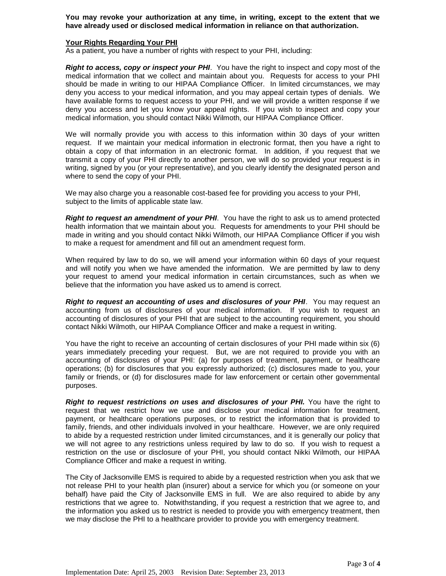**You may revoke your authorization at any time, in writing, except to the extent that we have already used or disclosed medical information in reliance on that authorization.**

#### **Your Rights Regarding Your PHI**

As a patient, you have a number of rights with respect to your PHI, including:

*Right to access, copy or inspect your PHI*. You have the right to inspect and copy most of the medical information that we collect and maintain about you. Requests for access to your PHI should be made in writing to our HIPAA Compliance Officer. In limited circumstances, we may deny you access to your medical information, and you may appeal certain types of denials. We have available forms to request access to your PHI, and we will provide a written response if we deny you access and let you know your appeal rights. If you wish to inspect and copy your medical information, you should contact Nikki Wilmoth, our HIPAA Compliance Officer.

We will normally provide you with access to this information within 30 days of your written request. If we maintain your medical information in electronic format, then you have a right to obtain a copy of that information in an electronic format. In addition, if you request that we transmit a copy of your PHI directly to another person, we will do so provided your request is in writing, signed by you (or your representative), and you clearly identify the designated person and where to send the copy of your PHI.

We may also charge you a reasonable cost-based fee for providing you access to your PHI, subject to the limits of applicable state law.

*Right to request an amendment of your PHI*. You have the right to ask us to amend protected health information that we maintain about you. Requests for amendments to your PHI should be made in writing and you should contact Nikki Wilmoth, our HIPAA Compliance Officer if you wish to make a request for amendment and fill out an amendment request form.

When required by law to do so, we will amend your information within 60 days of your request and will notify you when we have amended the information. We are permitted by law to deny your request to amend your medical information in certain circumstances, such as when we believe that the information you have asked us to amend is correct.

*Right to request an accounting of uses and disclosures of your PHI. You may request an* accounting from us of disclosures of your medical information. If you wish to request an accounting of disclosures of your PHI that are subject to the accounting requirement, you should contact Nikki Wilmoth, our HIPAA Compliance Officer and make a request in writing.

You have the right to receive an accounting of certain disclosures of your PHI made within six (6) years immediately preceding your request. But, we are not required to provide you with an accounting of disclosures of your PHI: (a) for purposes of treatment, payment, or healthcare operations; (b) for disclosures that you expressly authorized; (c) disclosures made to you, your family or friends, or (d) for disclosures made for law enforcement or certain other governmental purposes.

*Right to request restrictions on uses and disclosures of your PHI.* You have the right to request that we restrict how we use and disclose your medical information for treatment, payment, or healthcare operations purposes, or to restrict the information that is provided to family, friends, and other individuals involved in your healthcare. However, we are only required to abide by a requested restriction under limited circumstances, and it is generally our policy that we will not agree to any restrictions unless required by law to do so. If you wish to request a restriction on the use or disclosure of your PHI, you should contact Nikki Wilmoth, our HIPAA Compliance Officer and make a request in writing.

The City of Jacksonville EMS is required to abide by a requested restriction when you ask that we not release PHI to your health plan (insurer) about a service for which you (or someone on your behalf) have paid the City of Jacksonville EMS in full. We are also required to abide by any restrictions that we agree to. Notwithstanding, if you request a restriction that we agree to, and the information you asked us to restrict is needed to provide you with emergency treatment, then we may disclose the PHI to a healthcare provider to provide you with emergency treatment.